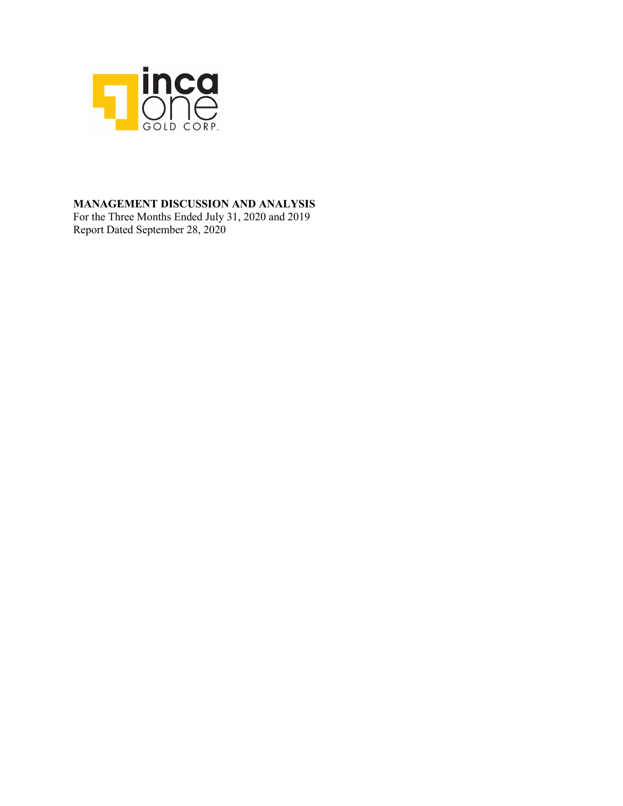

### **MANAGEMENT DISCUSSION AND ANALYSIS**

For the Three Months Ended July 31, 2020 and 2019 Report Dated September 28, 2020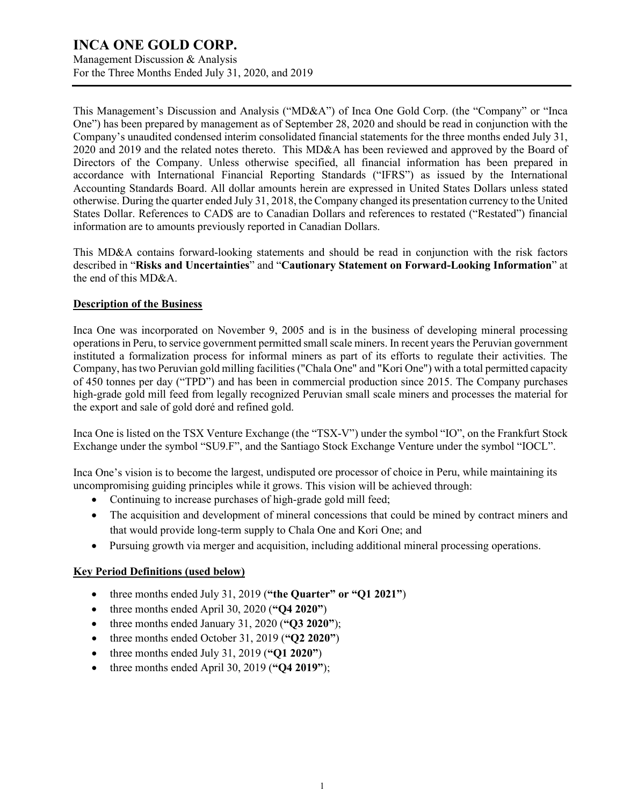Management Discussion & Analysis For the Three Months Ended July 31, 2020, and 2019

This Management's Discussion and Analysis ("MD&A") of Inca One Gold Corp. (the "Company" or "Inca One") has been prepared by management as of September 28, 2020 and should be read in conjunction with the Company's unaudited condensed interim consolidated financial statements for the three months ended July 31, 2020 and 2019 and the related notes thereto. This MD&A has been reviewed and approved by the Board of Directors of the Company. Unless otherwise specified, all financial information has been prepared in accordance with International Financial Reporting Standards ("IFRS") as issued by the International Accounting Standards Board. All dollar amounts herein are expressed in United States Dollars unless stated otherwise. During the quarter ended July 31, 2018, the Company changed its presentation currency to the United States Dollar. References to CAD\$ are to Canadian Dollars and references to restated ("Restated") financial information are to amounts previously reported in Canadian Dollars.

This MD&A contains forward-looking statements and should be read in conjunction with the risk factors described in "**Risks and Uncertainties**" and "**Cautionary Statement on Forward-Looking Information**" at the end of this MD&A.

#### **Description of the Business**

Inca One was incorporated on November 9, 2005 and is in the business of developing mineral processing operations in Peru, to service government permitted small scale miners. In recent years the Peruvian government instituted a formalization process for informal miners as part of its efforts to regulate their activities. The Company, hastwo Peruvian gold milling facilities ("Chala One" and "Kori One") with a total permitted capacity of 450 tonnes per day ("TPD") and has been in commercial production since 2015. The Company purchases high-grade gold mill feed from legally recognized Peruvian small scale miners and processes the material for the export and sale of gold doré and refined gold.

Inca One is listed on the TSX Venture Exchange (the "TSX-V") under the symbol "IO", on the Frankfurt Stock Exchange under the symbol "SU9.F", and the Santiago Stock Exchange Venture under the symbol "IOCL".

Inca One's vision is to become the largest, undisputed ore processor of choice in Peru, while maintaining its uncompromising guiding principles while it grows. This vision will be achieved through:

- Continuing to increase purchases of high-grade gold mill feed;
- The acquisition and development of mineral concessions that could be mined by contract miners and that would provide long-term supply to Chala One and Kori One; and
- Pursuing growth via merger and acquisition, including additional mineral processing operations.

#### **Key Period Definitions (used below)**

- three months ended July 31, 2019 (**"the Quarter" or "Q1 2021"**)
- three months ended April 30, 2020 (**"Q4 2020"**)
- three months ended January 31, 2020 (**"Q3 2020"**);
- three months ended October 31, 2019 (**"Q2 2020"**)
- three months ended July 31, 2019 (**"Q1 2020"**)
- three months ended April 30, 2019 (**"Q4 2019"**);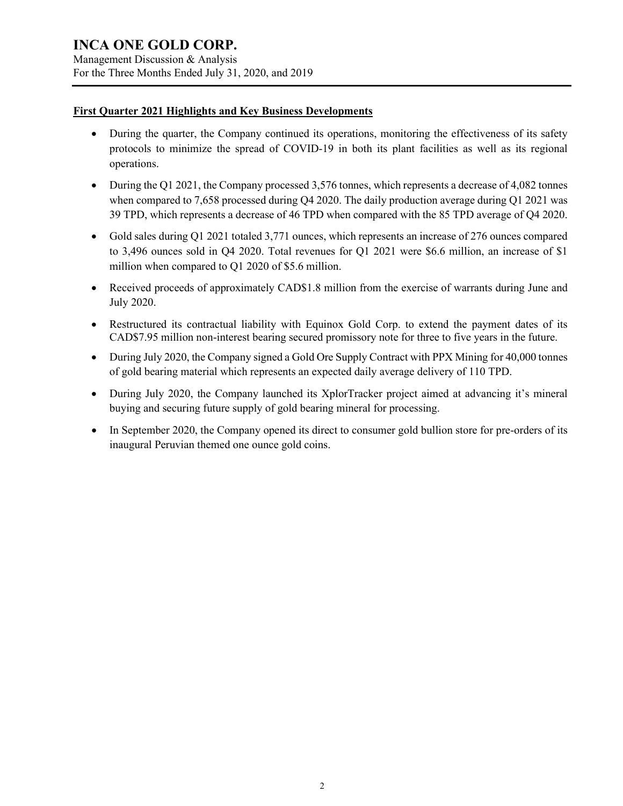Management Discussion & Analysis For the Three Months Ended July 31, 2020, and 2019

#### **First Quarter 2021 Highlights and Key Business Developments**

- During the quarter, the Company continued its operations, monitoring the effectiveness of its safety protocols to minimize the spread of COVID-19 in both its plant facilities as well as its regional operations.
- During the Q1 2021, the Company processed 3,576 tonnes, which represents a decrease of 4,082 tonnes when compared to 7,658 processed during Q4 2020. The daily production average during Q1 2021 was 39 TPD, which represents a decrease of 46 TPD when compared with the 85 TPD average of Q4 2020.
- Gold sales during Q1 2021 totaled 3,771 ounces, which represents an increase of 276 ounces compared to 3,496 ounces sold in Q4 2020. Total revenues for Q1 2021 were \$6.6 million, an increase of \$1 million when compared to Q1 2020 of \$5.6 million.
- Received proceeds of approximately CAD\$1.8 million from the exercise of warrants during June and July 2020.
- Restructured its contractual liability with Equinox Gold Corp. to extend the payment dates of its CAD\$7.95 million non-interest bearing secured promissory note for three to five years in the future.
- During July 2020, the Company signed a Gold Ore Supply Contract with PPX Mining for 40,000 tonnes of gold bearing material which represents an expected daily average delivery of 110 TPD.
- During July 2020, the Company launched its XplorTracker project aimed at advancing it's mineral buying and securing future supply of gold bearing mineral for processing.
- In September 2020, the Company opened its direct to consumer gold bullion store for pre-orders of its inaugural Peruvian themed one ounce gold coins.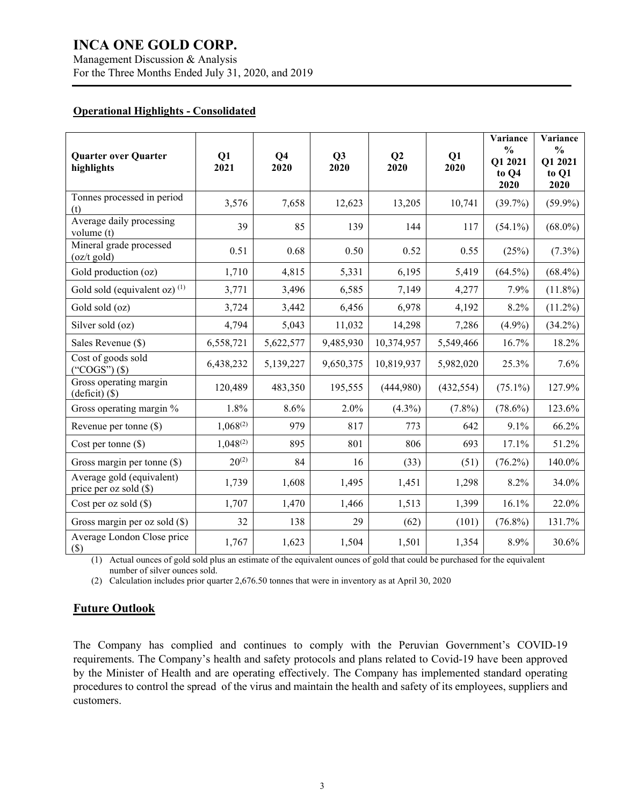Management Discussion & Analysis For the Three Months Ended July 31, 2020, and 2019

#### **Operational Highlights - Consolidated**

| <b>Quarter over Quarter</b><br>highlights           | Q1<br>2021    | Q <sub>4</sub><br>2020 | Q3<br>2020 | Q <sub>2</sub><br>2020 | Q1<br>2020 | Variance<br>$\frac{0}{0}$<br>Q1 2021<br>to Q4<br>2020 | Variance<br>$\frac{0}{0}$<br>Q1 2021<br>to Q1<br>2020 |
|-----------------------------------------------------|---------------|------------------------|------------|------------------------|------------|-------------------------------------------------------|-------------------------------------------------------|
| Tonnes processed in period<br>(t)                   | 3,576         | 7,658                  | 12,623     | 13,205                 | 10,741     | $(39.7\%)$                                            | $(59.9\%)$                                            |
| Average daily processing<br>volume (t)              | 39            | 85                     | 139        | 144                    | 117        | $(54.1\%)$                                            | $(68.0\%)$                                            |
| Mineral grade processed<br>$(oz/t$ gold)            | 0.51          | 0.68                   | 0.50       | 0.52                   | 0.55       | (25%)                                                 | $(7.3\%)$                                             |
| Gold production (oz)                                | 1,710         | 4,815                  | 5,331      | 6,195                  | 5,419      | $(64.5\%)$                                            | $(68.4\%)$                                            |
| Gold sold (equivalent oz) $(1)$                     | 3,771         | 3,496                  | 6,585      | 7,149                  | 4,277      | 7.9%                                                  | $(11.8\%)$                                            |
| Gold sold (oz)                                      | 3,724         | 3,442                  | 6,456      | 6,978                  | 4,192      | 8.2%                                                  | $(11.2\%)$                                            |
| Silver sold (oz)                                    | 4,794         | 5,043                  | 11,032     | 14,298                 | 7,286      | $(4.9\%)$                                             | $(34.2\%)$                                            |
| Sales Revenue (\$)                                  | 6,558,721     | 5,622,577              | 9,485,930  | 10,374,957             | 5,549,466  | 16.7%                                                 | 18.2%                                                 |
| Cost of goods sold<br>("COGS") $(\$)$               | 6,438,232     | 5,139,227              | 9,650,375  | 10,819,937             | 5,982,020  | 25.3%                                                 | 7.6%                                                  |
| Gross operating margin<br>(deficit) (\$)            | 120,489       | 483,350                | 195,555    | (444,980)              | (432, 554) | $(75.1\%)$                                            | 127.9%                                                |
| Gross operating margin %                            | 1.8%          | 8.6%                   | 2.0%       | $(4.3\%)$              | $(7.8\%)$  | $(78.6\%)$                                            | 123.6%                                                |
| Revenue per tonne (\$)                              | $1,068^{(2)}$ | 979                    | 817        | 773                    | 642        | 9.1%                                                  | 66.2%                                                 |
| Cost per tonne $(\$)$                               | $1,048^{(2)}$ | 895                    | 801        | 806                    | 693        | 17.1%                                                 | 51.2%                                                 |
| Gross margin per tonne (\$)                         | $20^{(2)}$    | 84                     | 16         | (33)                   | (51)       | $(76.2\%)$                                            | 140.0%                                                |
| Average gold (equivalent)<br>price per oz sold (\$) | 1,739         | 1,608                  | 1,495      | 1,451                  | 1,298      | 8.2%                                                  | 34.0%                                                 |
| Cost per oz sold $(\$)$                             | 1,707         | 1,470                  | 1,466      | 1,513                  | 1,399      | 16.1%                                                 | 22.0%                                                 |
| Gross margin per oz sold $(\$)$                     | 32            | 138                    | 29         | (62)                   | (101)      | $(76.8\%)$                                            | 131.7%                                                |
| Average London Close price<br>$($)$                 | 1,767         | 1,623                  | 1,504      | 1,501                  | 1,354      | 8.9%                                                  | 30.6%                                                 |

(1) Actual ounces of gold sold plus an estimate of the equivalent ounces of gold that could be purchased for the equivalent number of silver ounces sold.

(2) Calculation includes prior quarter 2,676.50 tonnes that were in inventory as at April 30, 2020

### **Future Outlook**

The Company has complied and continues to comply with the Peruvian Government's COVID-19 requirements. The Company's health and safety protocols and plans related to Covid-19 have been approved by the Minister of Health and are operating effectively. The Company has implemented standard operating procedures to control the spread of the virus and maintain the health and safety of its employees, suppliers and customers.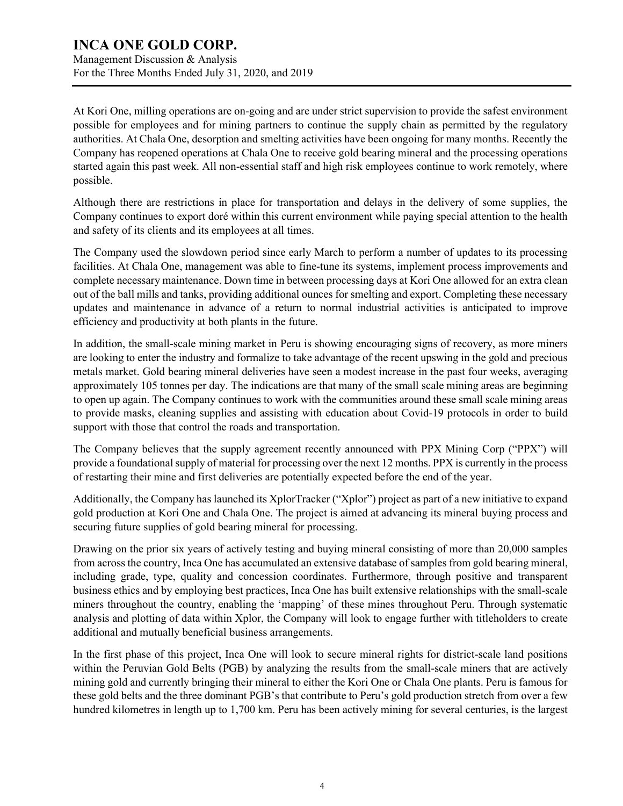Management Discussion & Analysis For the Three Months Ended July 31, 2020, and 2019

At Kori One, milling operations are on-going and are under strict supervision to provide the safest environment possible for employees and for mining partners to continue the supply chain as permitted by the regulatory authorities. At Chala One, desorption and smelting activities have been ongoing for many months. Recently the Company has reopened operations at Chala One to receive gold bearing mineral and the processing operations started again this past week. All non-essential staff and high risk employees continue to work remotely, where possible.

Although there are restrictions in place for transportation and delays in the delivery of some supplies, the Company continues to export doré within this current environment while paying special attention to the health and safety of its clients and its employees at all times.

The Company used the slowdown period since early March to perform a number of updates to its processing facilities. At Chala One, management was able to fine-tune its systems, implement process improvements and complete necessary maintenance. Down time in between processing days at Kori One allowed for an extra clean out of the ball mills and tanks, providing additional ounces for smelting and export. Completing these necessary updates and maintenance in advance of a return to normal industrial activities is anticipated to improve efficiency and productivity at both plants in the future.

In addition, the small-scale mining market in Peru is showing encouraging signs of recovery, as more miners are looking to enter the industry and formalize to take advantage of the recent upswing in the gold and precious metals market. Gold bearing mineral deliveries have seen a modest increase in the past four weeks, averaging approximately 105 tonnes per day. The indications are that many of the small scale mining areas are beginning to open up again. The Company continues to work with the communities around these small scale mining areas to provide masks, cleaning supplies and assisting with education about Covid-19 protocols in order to build support with those that control the roads and transportation.

The Company believes that the supply agreement recently announced with PPX Mining Corp ("PPX") will provide a foundational supply of material for processing over the next 12 months. PPX is currently in the process of restarting their mine and first deliveries are potentially expected before the end of the year.

Additionally, the Company has launched its XplorTracker ("Xplor") project as part of a new initiative to expand gold production at Kori One and Chala One. The project is aimed at advancing its mineral buying process and securing future supplies of gold bearing mineral for processing.

Drawing on the prior six years of actively testing and buying mineral consisting of more than 20,000 samples from across the country, Inca One has accumulated an extensive database of samples from gold bearing mineral, including grade, type, quality and concession coordinates. Furthermore, through positive and transparent business ethics and by employing best practices, Inca One has built extensive relationships with the small-scale miners throughout the country, enabling the 'mapping' of these mines throughout Peru. Through systematic analysis and plotting of data within Xplor, the Company will look to engage further with titleholders to create additional and mutually beneficial business arrangements.

In the first phase of this project, Inca One will look to secure mineral rights for district-scale land positions within the Peruvian Gold Belts (PGB) by analyzing the results from the small-scale miners that are actively mining gold and currently bringing their mineral to either the Kori One or Chala One plants. Peru is famous for these gold belts and the three dominant PGB's that contribute to Peru's gold production stretch from over a few hundred kilometres in length up to 1,700 km. Peru has been actively mining for several centuries, is the largest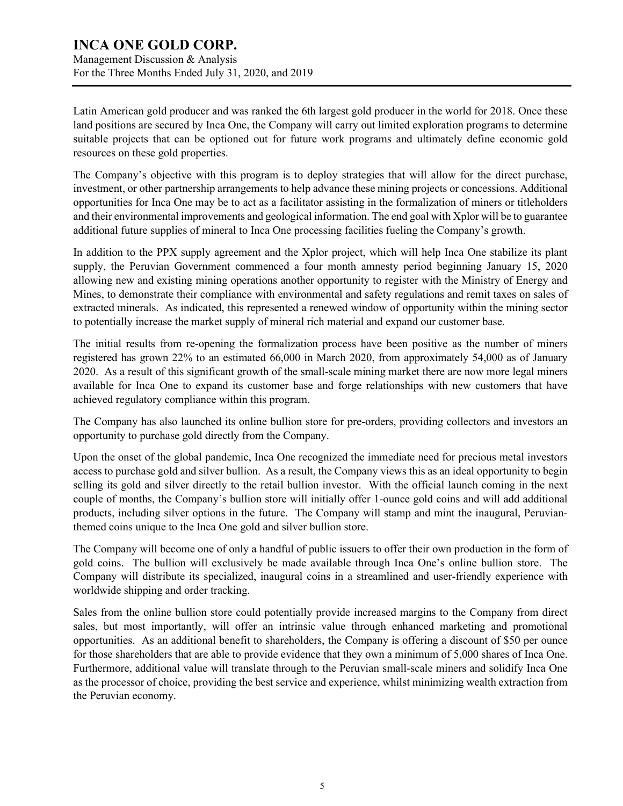### **INCA ONE GOLD CORP.** Management Discussion & Analysis For the Three Months Ended July 31, 2020, and 2019

Latin American gold producer and was ranked the 6th largest gold producer in the world for 2018. Once these land positions are secured by Inca One, the Company will carry out limited exploration programs to determine suitable projects that can be optioned out for future work programs and ultimately define economic gold resources on these gold properties.

The Company's objective with this program is to deploy strategies that will allow for the direct purchase, investment, or other partnership arrangements to help advance these mining projects or concessions. Additional opportunities for Inca One may be to act as a facilitator assisting in the formalization of miners or titleholders and their environmental improvements and geological information. The end goal with Xplor will be to guarantee additional future supplies of mineral to Inca One processing facilities fueling the Company's growth.

In addition to the PPX supply agreement and the Xplor project, which will help Inca One stabilize its plant supply, the Peruvian Government commenced a four month amnesty period beginning January 15, 2020 allowing new and existing mining operations another opportunity to register with the Ministry of Energy and Mines, to demonstrate their compliance with environmental and safety regulations and remit taxes on sales of extracted minerals. As indicated, this represented a renewed window of opportunity within the mining sector to potentially increase the market supply of mineral rich material and expand our customer base.

The initial results from re-opening the formalization process have been positive as the number of miners registered has grown 22% to an estimated 66,000 in March 2020, from approximately 54,000 as of January 2020. As a result of this significant growth of the small-scale mining market there are now more legal miners available for Inca One to expand its customer base and forge relationships with new customers that have achieved regulatory compliance within this program.

The Company has also launched its online bullion store for pre-orders, providing collectors and investors an opportunity to purchase gold directly from the Company.

Upon the onset of the global pandemic, Inca One recognized the immediate need for precious metal investors access to purchase gold and silver bullion. As a result, the Company views this as an ideal opportunity to begin selling its gold and silver directly to the retail bullion investor. With the official launch coming in the next couple of months, the Company's bullion store will initially offer 1-ounce gold coins and will add additional products, including silver options in the future. The Company will stamp and mint the inaugural, Peruvianthemed coins unique to the Inca One gold and silver bullion store.

The Company will become one of only a handful of public issuers to offer their own production in the form of gold coins. The bullion will exclusively be made available through Inca One's online bullion store. The Company will distribute its specialized, inaugural coins in a streamlined and user-friendly experience with worldwide shipping and order tracking.

Sales from the online bullion store could potentially provide increased margins to the Company from direct sales, but most importantly, will offer an intrinsic value through enhanced marketing and promotional opportunities. As an additional benefit to shareholders, the Company is offering a discount of \$50 per ounce for those shareholders that are able to provide evidence that they own a minimum of 5,000 shares of Inca One. Furthermore, additional value will translate through to the Peruvian small-scale miners and solidify Inca One as the processor of choice, providing the best service and experience, whilst minimizing wealth extraction from the Peruvian economy.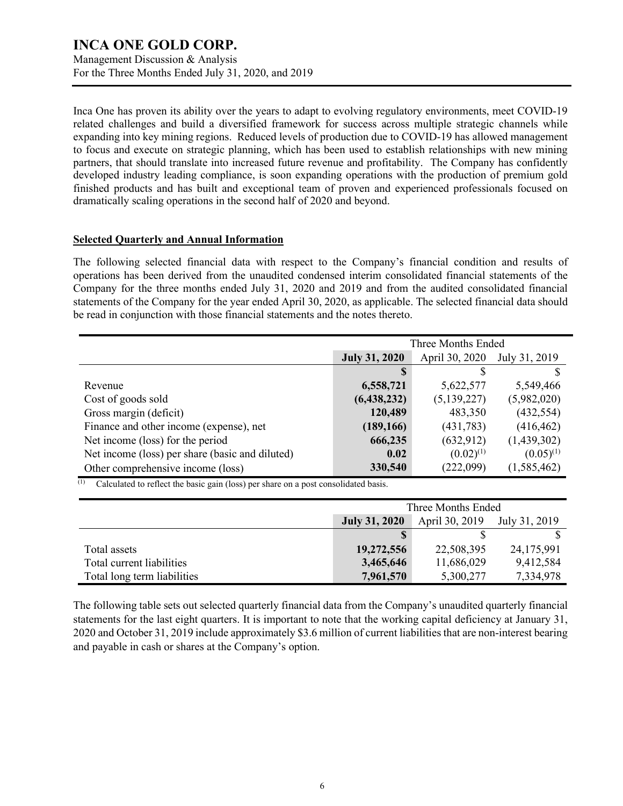Management Discussion & Analysis For the Three Months Ended July 31, 2020, and 2019

Inca One has proven its ability over the years to adapt to evolving regulatory environments, meet COVID-19 related challenges and build a diversified framework for success across multiple strategic channels while expanding into key mining regions. Reduced levels of production due to COVID-19 has allowed management to focus and execute on strategic planning, which has been used to establish relationships with new mining partners, that should translate into increased future revenue and profitability. The Company has confidently developed industry leading compliance, is soon expanding operations with the production of premium gold finished products and has built and exceptional team of proven and experienced professionals focused on dramatically scaling operations in the second half of 2020 and beyond.

#### **Selected Quarterly and Annual Information**

The following selected financial data with respect to the Company's financial condition and results of operations has been derived from the unaudited condensed interim consolidated financial statements of the Company for the three months ended July 31, 2020 and 2019 and from the audited consolidated financial statements of the Company for the year ended April 30, 2020, as applicable. The selected financial data should be read in conjunction with those financial statements and the notes thereto.

|                                                 | Three Months Ended                                      |                |                |  |
|-------------------------------------------------|---------------------------------------------------------|----------------|----------------|--|
|                                                 | April 30, 2020<br><b>July 31, 2020</b><br>July 31, 2019 |                |                |  |
|                                                 | <b>S</b>                                                |                |                |  |
| Revenue                                         | 6,558,721                                               | 5,622,577      | 5,549,466      |  |
| Cost of goods sold                              | (6,438,232)                                             | (5, 139, 227)  | (5,982,020)    |  |
| Gross margin (deficit)                          | 120,489                                                 | 483,350        | (432, 554)     |  |
| Finance and other income (expense), net         | (189, 166)                                              | (431,783)      | (416, 462)     |  |
| Net income (loss) for the period                | 666,235                                                 | (632, 912)     | (1,439,302)    |  |
| Net income (loss) per share (basic and diluted) | 0.02                                                    | $(0.02)^{(1)}$ | $(0.05)^{(1)}$ |  |
| Other comprehensive income (loss)               | 330,540                                                 | (222,099)      | (1, 585, 462)  |  |

 $(1)$  Calculated to reflect the basic gain (loss) per share on a post consolidated basis.

|                             | Three Months Ended                                      |            |            |  |
|-----------------------------|---------------------------------------------------------|------------|------------|--|
|                             | April 30, 2019<br><b>July 31, 2020</b><br>July 31, 2019 |            |            |  |
|                             |                                                         |            |            |  |
| Total assets                | 19,272,556                                              | 22,508,395 | 24,175,991 |  |
| Total current liabilities   | 3,465,646                                               | 11,686,029 | 9,412,584  |  |
| Total long term liabilities | 7,961,570                                               | 5,300,277  | 7,334,978  |  |

The following table sets out selected quarterly financial data from the Company's unaudited quarterly financial statements for the last eight quarters. It is important to note that the working capital deficiency at January 31, 2020 and October 31, 2019 include approximately \$3.6 million of current liabilities that are non-interest bearing and payable in cash or shares at the Company's option.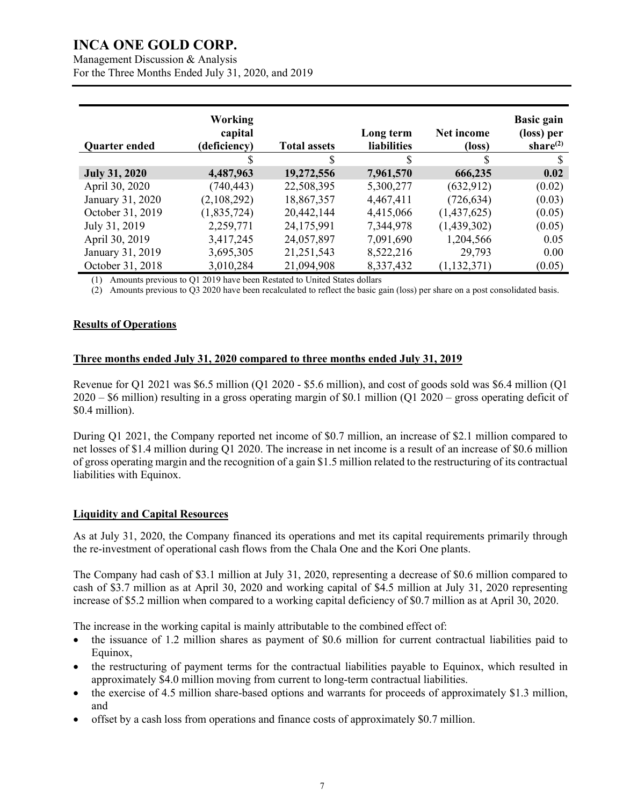Management Discussion & Analysis For the Three Months Ended July 31, 2020, and 2019

| <b>Quarter ended</b> | <b>Working</b><br>capital<br>(deficiency) | <b>Total assets</b> | Long term<br><b>liabilities</b> | Net income<br>$(\text{loss})$ | <b>Basic gain</b><br>(loss) per<br>share $^{(2)}$ |
|----------------------|-------------------------------------------|---------------------|---------------------------------|-------------------------------|---------------------------------------------------|
|                      | S                                         | \$                  | \$                              | S                             |                                                   |
| <b>July 31, 2020</b> | 4,487,963                                 | 19,272,556          | 7,961,570                       | 666,235                       | 0.02                                              |
| April 30, 2020       | (740, 443)                                | 22,508,395          | 5,300,277                       | (632, 912)                    | (0.02)                                            |
| January 31, 2020     | (2,108,292)                               | 18,867,357          | 4,467,411                       | (726, 634)                    | (0.03)                                            |
| October 31, 2019     | (1,835,724)                               | 20,442,144          | 4,415,066                       | (1,437,625)                   | (0.05)                                            |
| July 31, 2019        | 2,259,771                                 | 24,175,991          | 7,344,978                       | (1,439,302)                   | (0.05)                                            |
| April 30, 2019       | 3,417,245                                 | 24,057,897          | 7,091,690                       | 1,204,566                     | 0.05                                              |
| January 31, 2019     | 3,695,305                                 | 21, 251, 543        | 8,522,216                       | 29,793                        | 0.00                                              |
| October 31, 2018     | 3,010,284                                 | 21,094,908          | 8,337,432                       | (1, 132, 371)                 | (0.05)                                            |
|                      |                                           |                     |                                 |                               |                                                   |

(1) Amounts previous to Q1 2019 have been Restated to United States dollars

(2) Amounts previous to Q3 2020 have been recalculated to reflect the basic gain (loss) per share on a post consolidated basis.

#### **Results of Operations**

#### **Three months ended July 31, 2020 compared to three months ended July 31, 2019**

Revenue for Q1 2021 was \$6.5 million (Q1 2020 - \$5.6 million), and cost of goods sold was \$6.4 million (Q1 2020 – \$6 million) resulting in a gross operating margin of \$0.1 million (Q1 2020 – gross operating deficit of \$0.4 million).

During Q1 2021, the Company reported net income of \$0.7 million, an increase of \$2.1 million compared to net losses of \$1.4 million during Q1 2020. The increase in net income is a result of an increase of \$0.6 million of gross operating margin and the recognition of a gain \$1.5 million related to the restructuring of its contractual liabilities with Equinox.

#### **Liquidity and Capital Resources**

As at July 31, 2020, the Company financed its operations and met its capital requirements primarily through the re-investment of operational cash flows from the Chala One and the Kori One plants.

The Company had cash of \$3.1 million at July 31, 2020, representing a decrease of \$0.6 million compared to cash of \$3.7 million as at April 30, 2020 and working capital of \$4.5 million at July 31, 2020 representing increase of \$5.2 million when compared to a working capital deficiency of \$0.7 million as at April 30, 2020.

The increase in the working capital is mainly attributable to the combined effect of:

- the issuance of 1.2 million shares as payment of \$0.6 million for current contractual liabilities paid to Equinox,
- the restructuring of payment terms for the contractual liabilities payable to Equinox, which resulted in approximately \$4.0 million moving from current to long-term contractual liabilities.
- the exercise of 4.5 million share-based options and warrants for proceeds of approximately \$1.3 million, and
- offset by a cash loss from operations and finance costs of approximately \$0.7 million.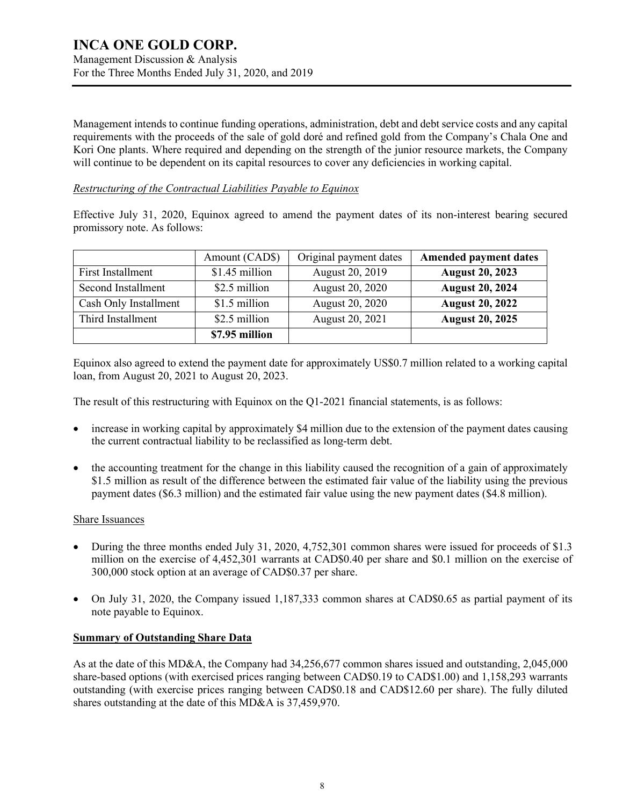Management Discussion & Analysis For the Three Months Ended July 31, 2020, and 2019

Management intends to continue funding operations, administration, debt and debt service costs and any capital requirements with the proceeds of the sale of gold doré and refined gold from the Company's Chala One and Kori One plants. Where required and depending on the strength of the junior resource markets, the Company will continue to be dependent on its capital resources to cover any deficiencies in working capital.

#### *Restructuring of the Contractual Liabilities Payable to Equinox*

Effective July 31, 2020, Equinox agreed to amend the payment dates of its non-interest bearing secured promissory note. As follows:

|                       | Amount (CAD\$) | Original payment dates | <b>Amended payment dates</b> |
|-----------------------|----------------|------------------------|------------------------------|
| First Installment     | \$1.45 million | August 20, 2019        | <b>August 20, 2023</b>       |
| Second Installment    | \$2.5 million  | August 20, 2020        | <b>August 20, 2024</b>       |
| Cash Only Installment | \$1.5 million  | August 20, 2020        | <b>August 20, 2022</b>       |
| Third Installment     | \$2.5 million  | August 20, 2021        | <b>August 20, 2025</b>       |
|                       | \$7.95 million |                        |                              |

Equinox also agreed to extend the payment date for approximately US\$0.7 million related to a working capital loan, from August 20, 2021 to August 20, 2023.

The result of this restructuring with Equinox on the Q1-2021 financial statements, is as follows:

- increase in working capital by approximately \$4 million due to the extension of the payment dates causing the current contractual liability to be reclassified as long-term debt.
- the accounting treatment for the change in this liability caused the recognition of a gain of approximately \$1.5 million as result of the difference between the estimated fair value of the liability using the previous payment dates (\$6.3 million) and the estimated fair value using the new payment dates (\$4.8 million).

#### Share Issuances

- During the three months ended July 31, 2020, 4,752,301 common shares were issued for proceeds of \$1.3 million on the exercise of 4,452,301 warrants at CAD\$0.40 per share and \$0.1 million on the exercise of 300,000 stock option at an average of CAD\$0.37 per share.
- On July 31, 2020, the Company issued 1,187,333 common shares at CAD\$0.65 as partial payment of its note payable to Equinox.

#### **Summary of Outstanding Share Data**

As at the date of this MD&A, the Company had 34,256,677 common shares issued and outstanding, 2,045,000 share-based options (with exercised prices ranging between CAD\$0.19 to CAD\$1.00) and 1,158,293 warrants outstanding (with exercise prices ranging between CAD\$0.18 and CAD\$12.60 per share). The fully diluted shares outstanding at the date of this MD&A is 37,459,970.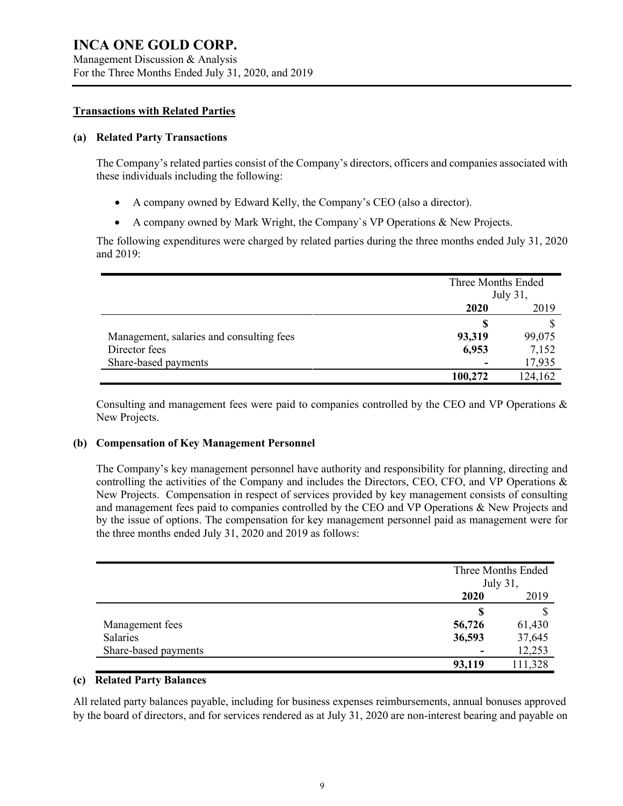Management Discussion & Analysis For the Three Months Ended July 31, 2020, and 2019

#### **Transactions with Related Parties**

#### **(a) Related Party Transactions**

The Company's related parties consist of the Company's directors, officers and companies associated with these individuals including the following:

- A company owned by Edward Kelly, the Company's CEO (also a director).
- A company owned by Mark Wright, the Company`s VP Operations & New Projects.

The following expenditures were charged by related parties during the three months ended July 31, 2020 and 2019:

|                                          |         | Three Months Ended<br>July 31, |  |
|------------------------------------------|---------|--------------------------------|--|
|                                          | 2020    | 2019                           |  |
|                                          | S       |                                |  |
| Management, salaries and consulting fees | 93,319  | 99,075                         |  |
| Director fees                            | 6,953   | 7,152                          |  |
| Share-based payments                     |         | 17,935                         |  |
|                                          | 100,272 | 124,162                        |  |

Consulting and management fees were paid to companies controlled by the CEO and VP Operations & New Projects.

#### **(b) Compensation of Key Management Personnel**

The Company's key management personnel have authority and responsibility for planning, directing and controlling the activities of the Company and includes the Directors, CEO, CFO, and VP Operations & New Projects. Compensation in respect of services provided by key management consists of consulting and management fees paid to companies controlled by the CEO and VP Operations & New Projects and by the issue of options. The compensation for key management personnel paid as management were for the three months ended July 31, 2020 and 2019 as follows:

|                      |        | Three Months Ended<br>July 31, |  |
|----------------------|--------|--------------------------------|--|
|                      | 2020   | 2019                           |  |
|                      |        |                                |  |
| Management fees      | 56,726 | 61,430                         |  |
| Salaries             | 36,593 | 37,645                         |  |
| Share-based payments |        | 12,253                         |  |
|                      | 93,119 | 111,328                        |  |

#### **(c) Related Party Balances**

All related party balances payable, including for business expenses reimbursements, annual bonuses approved by the board of directors, and for services rendered as at July 31, 2020 are non-interest bearing and payable on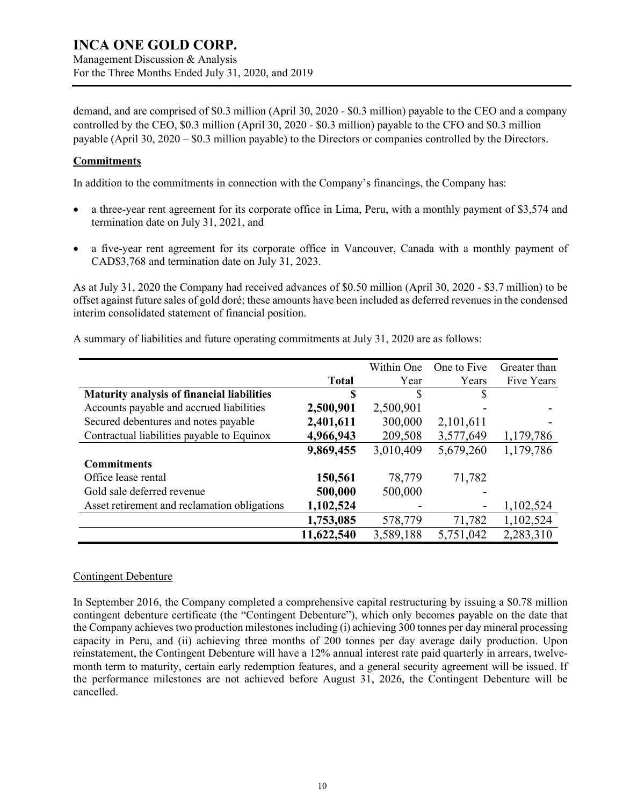Management Discussion & Analysis For the Three Months Ended July 31, 2020, and 2019

demand, and are comprised of \$0.3 million (April 30, 2020 - \$0.3 million) payable to the CEO and a company controlled by the CEO, \$0.3 million (April 30, 2020 - \$0.3 million) payable to the CFO and \$0.3 million payable (April 30, 2020 – \$0.3 million payable) to the Directors or companies controlled by the Directors.

#### **Commitments**

In addition to the commitments in connection with the Company's financings, the Company has:

- a three-year rent agreement for its corporate office in Lima, Peru, with a monthly payment of \$3,574 and termination date on July 31, 2021, and
- a five-year rent agreement for its corporate office in Vancouver, Canada with a monthly payment of CAD\$3,768 and termination date on July 31, 2023.

As at July 31, 2020 the Company had received advances of \$0.50 million (April 30, 2020 - \$3.7 million) to be offset against future sales of gold doré; these amounts have been included as deferred revenues in the condensed interim consolidated statement of financial position.

|                                                   |              | Within One | One to Five | Greater than |
|---------------------------------------------------|--------------|------------|-------------|--------------|
|                                                   | <b>Total</b> | Year       | Years       | Five Years   |
| <b>Maturity analysis of financial liabilities</b> | \$           | S          | S           |              |
| Accounts payable and accrued liabilities          | 2,500,901    | 2,500,901  |             |              |
| Secured debentures and notes payable              | 2,401,611    | 300,000    | 2,101,611   |              |
| Contractual liabilities payable to Equinox        | 4,966,943    | 209,508    | 3,577,649   | 1,179,786    |
|                                                   | 9,869,455    | 3,010,409  | 5,679,260   | 1,179,786    |
| <b>Commitments</b>                                |              |            |             |              |
| Office lease rental                               | 150,561      | 78,779     | 71,782      |              |
| Gold sale deferred revenue                        | 500,000      | 500,000    |             |              |
| Asset retirement and reclamation obligations      | 1,102,524    |            |             | 1,102,524    |
|                                                   | 1,753,085    | 578,779    | 71,782      | 1,102,524    |
|                                                   | 11,622,540   | 3,589,188  | 5,751,042   | 2,283,310    |

A summary of liabilities and future operating commitments at July 31, 2020 are as follows:

#### Contingent Debenture

In September 2016, the Company completed a comprehensive capital restructuring by issuing a \$0.78 million contingent debenture certificate (the "Contingent Debenture"), which only becomes payable on the date that the Company achieves two production milestones including (i) achieving 300 tonnes per day mineral processing capacity in Peru, and (ii) achieving three months of 200 tonnes per day average daily production. Upon reinstatement, the Contingent Debenture will have a 12% annual interest rate paid quarterly in arrears, twelvemonth term to maturity, certain early redemption features, and a general security agreement will be issued. If the performance milestones are not achieved before August 31, 2026, the Contingent Debenture will be cancelled.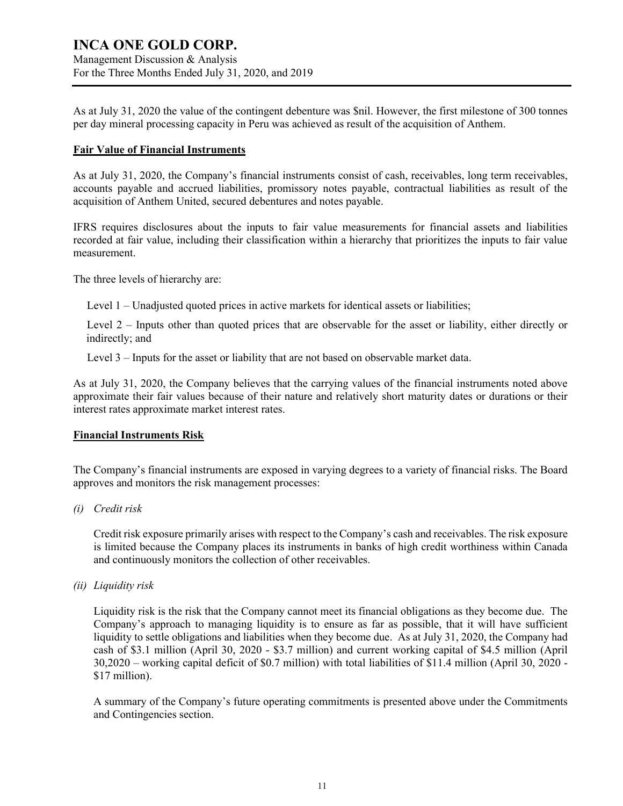### **INCA ONE GOLD CORP.** Management Discussion & Analysis

For the Three Months Ended July 31, 2020, and 2019

As at July 31, 2020 the value of the contingent debenture was \$nil. However, the first milestone of 300 tonnes per day mineral processing capacity in Peru was achieved as result of the acquisition of Anthem.

#### **Fair Value of Financial Instruments**

As at July 31, 2020, the Company's financial instruments consist of cash, receivables, long term receivables, accounts payable and accrued liabilities, promissory notes payable, contractual liabilities as result of the acquisition of Anthem United, secured debentures and notes payable.

IFRS requires disclosures about the inputs to fair value measurements for financial assets and liabilities recorded at fair value, including their classification within a hierarchy that prioritizes the inputs to fair value measurement.

The three levels of hierarchy are:

Level 1 – Unadjusted quoted prices in active markets for identical assets or liabilities;

Level 2 – Inputs other than quoted prices that are observable for the asset or liability, either directly or indirectly; and

Level 3 – Inputs for the asset or liability that are not based on observable market data.

As at July 31, 2020, the Company believes that the carrying values of the financial instruments noted above approximate their fair values because of their nature and relatively short maturity dates or durations or their interest rates approximate market interest rates.

### **Financial Instruments Risk**

The Company's financial instruments are exposed in varying degrees to a variety of financial risks. The Board approves and monitors the risk management processes:

*(i) Credit risk*

Credit risk exposure primarily arises with respect to the Company's cash and receivables. The risk exposure is limited because the Company places its instruments in banks of high credit worthiness within Canada and continuously monitors the collection of other receivables.

*(ii) Liquidity risk*

Liquidity risk is the risk that the Company cannot meet its financial obligations as they become due. The Company's approach to managing liquidity is to ensure as far as possible, that it will have sufficient liquidity to settle obligations and liabilities when they become due. As at July 31, 2020, the Company had cash of \$3.1 million (April 30, 2020 - \$3.7 million) and current working capital of \$4.5 million (April 30,2020 – working capital deficit of \$0.7 million) with total liabilities of \$11.4 million (April 30, 2020 - \$17 million).

A summary of the Company's future operating commitments is presented above under the Commitments and Contingencies section.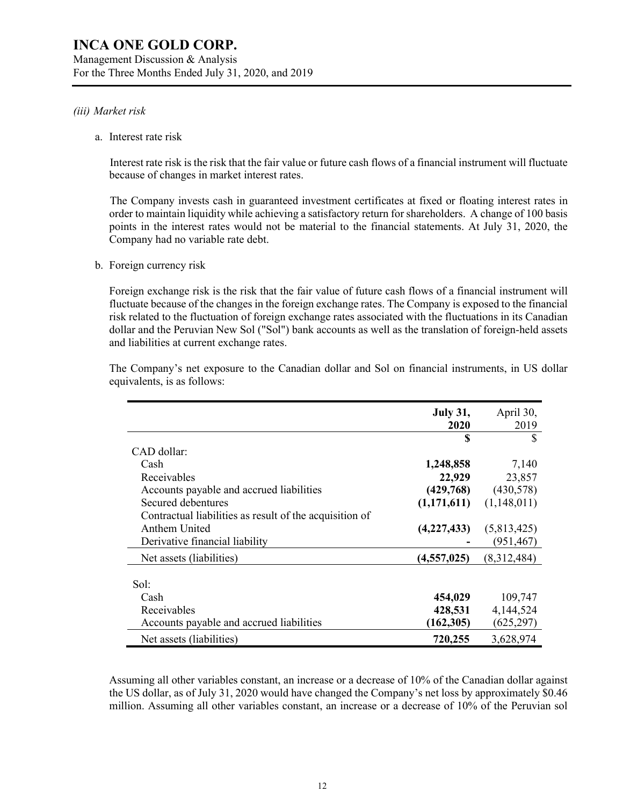Management Discussion & Analysis For the Three Months Ended July 31, 2020, and 2019

#### *(iii) Market risk*

a. Interest rate risk

Interest rate risk is the risk that the fair value or future cash flows of a financial instrument will fluctuate because of changes in market interest rates.

The Company invests cash in guaranteed investment certificates at fixed or floating interest rates in order to maintain liquidity while achieving a satisfactory return for shareholders. A change of 100 basis points in the interest rates would not be material to the financial statements. At July 31, 2020, the Company had no variable rate debt.

b. Foreign currency risk

Foreign exchange risk is the risk that the fair value of future cash flows of a financial instrument will fluctuate because of the changes in the foreign exchange rates. The Company is exposed to the financial risk related to the fluctuation of foreign exchange rates associated with the fluctuations in its Canadian dollar and the Peruvian New Sol ("Sol") bank accounts as well as the translation of foreign-held assets and liabilities at current exchange rates.

|                                                         | <b>July 31,</b><br>2020 | April 30,<br>2019 |
|---------------------------------------------------------|-------------------------|-------------------|
|                                                         | S                       | S                 |
| CAD dollar:                                             |                         |                   |
| Cash                                                    | 1,248,858               | 7,140             |
| Receivables                                             | 22,929                  | 23,857            |
| Accounts payable and accrued liabilities                | (429,768)               | (430,578)         |
| Secured debentures                                      | (1,171,611)             | (1,148,011)       |
| Contractual liabilities as result of the acquisition of |                         |                   |
| Anthem United                                           | (4,227,433)             | (5,813,425)       |
| Derivative financial liability                          |                         | (951, 467)        |
| Net assets (liabilities)                                | (4, 557, 025)           | (8,312,484)       |
|                                                         |                         |                   |
| Sol:                                                    |                         |                   |
| Cash                                                    | 454,029                 | 109,747           |
| Receivables                                             | 428,531                 | 4,144,524         |
| Accounts payable and accrued liabilities                | (162, 305)              | (625, 297)        |
| Net assets (liabilities)                                | 720,255                 | 3,628,974         |

The Company's net exposure to the Canadian dollar and Sol on financial instruments, in US dollar equivalents, is as follows:

Assuming all other variables constant, an increase or a decrease of 10% of the Canadian dollar against the US dollar, as of July 31, 2020 would have changed the Company's net loss by approximately \$0.46 million. Assuming all other variables constant, an increase or a decrease of 10% of the Peruvian sol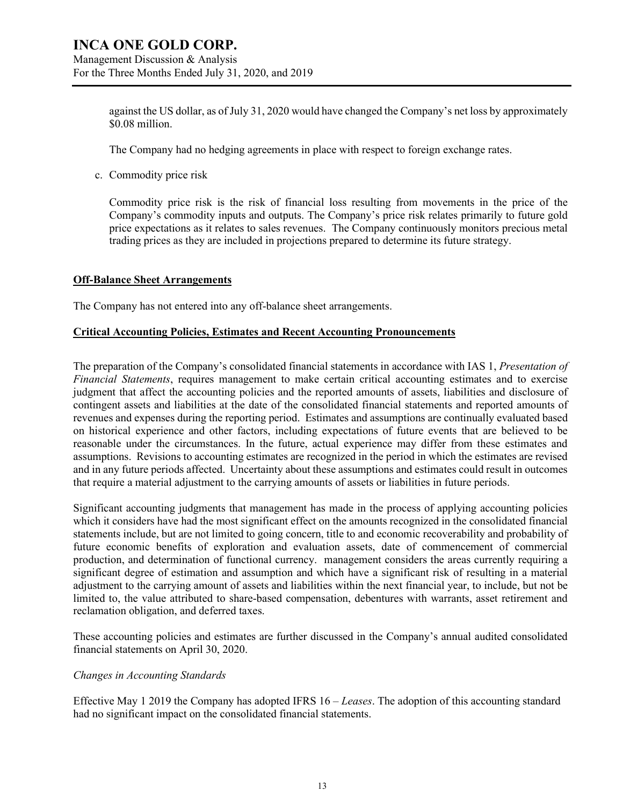Management Discussion & Analysis For the Three Months Ended July 31, 2020, and 2019

> against the US dollar, as of July 31, 2020 would have changed the Company's net loss by approximately \$0.08 million.

The Company had no hedging agreements in place with respect to foreign exchange rates.

c. Commodity price risk

Commodity price risk is the risk of financial loss resulting from movements in the price of the Company's commodity inputs and outputs. The Company's price risk relates primarily to future gold price expectations as it relates to sales revenues. The Company continuously monitors precious metal trading prices as they are included in projections prepared to determine its future strategy.

#### **Off-Balance Sheet Arrangements**

The Company has not entered into any off-balance sheet arrangements.

#### **Critical Accounting Policies, Estimates and Recent Accounting Pronouncements**

The preparation of the Company's consolidated financial statements in accordance with IAS 1, *Presentation of Financial Statements*, requires management to make certain critical accounting estimates and to exercise judgment that affect the accounting policies and the reported amounts of assets, liabilities and disclosure of contingent assets and liabilities at the date of the consolidated financial statements and reported amounts of revenues and expenses during the reporting period. Estimates and assumptions are continually evaluated based on historical experience and other factors, including expectations of future events that are believed to be reasonable under the circumstances. In the future, actual experience may differ from these estimates and assumptions. Revisions to accounting estimates are recognized in the period in which the estimates are revised and in any future periods affected. Uncertainty about these assumptions and estimates could result in outcomes that require a material adjustment to the carrying amounts of assets or liabilities in future periods.

Significant accounting judgments that management has made in the process of applying accounting policies which it considers have had the most significant effect on the amounts recognized in the consolidated financial statements include, but are not limited to going concern, title to and economic recoverability and probability of future economic benefits of exploration and evaluation assets, date of commencement of commercial production, and determination of functional currency. management considers the areas currently requiring a significant degree of estimation and assumption and which have a significant risk of resulting in a material adjustment to the carrying amount of assets and liabilities within the next financial year, to include, but not be limited to, the value attributed to share-based compensation, debentures with warrants, asset retirement and reclamation obligation, and deferred taxes.

These accounting policies and estimates are further discussed in the Company's annual audited consolidated financial statements on April 30, 2020.

#### *Changes in Accounting Standards*

Effective May 1 2019 the Company has adopted IFRS 16 – *Leases*. The adoption of this accounting standard had no significant impact on the consolidated financial statements.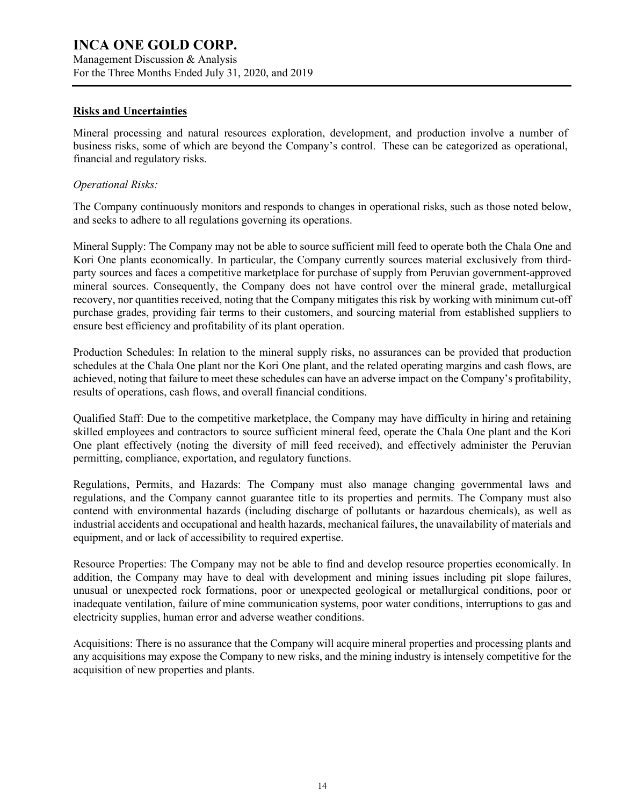Management Discussion & Analysis For the Three Months Ended July 31, 2020, and 2019

#### **Risks and Uncertainties**

Mineral processing and natural resources exploration, development, and production involve a number of business risks, some of which are beyond the Company's control. These can be categorized as operational, financial and regulatory risks.

#### *Operational Risks:*

The Company continuously monitors and responds to changes in operational risks, such as those noted below, and seeks to adhere to all regulations governing its operations.

Mineral Supply: The Company may not be able to source sufficient mill feed to operate both the Chala One and Kori One plants economically. In particular, the Company currently sources material exclusively from thirdparty sources and faces a competitive marketplace for purchase of supply from Peruvian government-approved mineral sources. Consequently, the Company does not have control over the mineral grade, metallurgical recovery, nor quantities received, noting that the Company mitigates this risk by working with minimum cut-off purchase grades, providing fair terms to their customers, and sourcing material from established suppliers to ensure best efficiency and profitability of its plant operation.

Production Schedules: In relation to the mineral supply risks, no assurances can be provided that production schedules at the Chala One plant nor the Kori One plant, and the related operating margins and cash flows, are achieved, noting that failure to meet these schedules can have an adverse impact on the Company's profitability, results of operations, cash flows, and overall financial conditions.

Qualified Staff: Due to the competitive marketplace, the Company may have difficulty in hiring and retaining skilled employees and contractors to source sufficient mineral feed, operate the Chala One plant and the Kori One plant effectively (noting the diversity of mill feed received), and effectively administer the Peruvian permitting, compliance, exportation, and regulatory functions.

Regulations, Permits, and Hazards: The Company must also manage changing governmental laws and regulations, and the Company cannot guarantee title to its properties and permits. The Company must also contend with environmental hazards (including discharge of pollutants or hazardous chemicals), as well as industrial accidents and occupational and health hazards, mechanical failures, the unavailability of materials and equipment, and or lack of accessibility to required expertise.

Resource Properties: The Company may not be able to find and develop resource properties economically. In addition, the Company may have to deal with development and mining issues including pit slope failures, unusual or unexpected rock formations, poor or unexpected geological or metallurgical conditions, poor or inadequate ventilation, failure of mine communication systems, poor water conditions, interruptions to gas and electricity supplies, human error and adverse weather conditions.

Acquisitions: There is no assurance that the Company will acquire mineral properties and processing plants and any acquisitions may expose the Company to new risks, and the mining industry is intensely competitive for the acquisition of new properties and plants.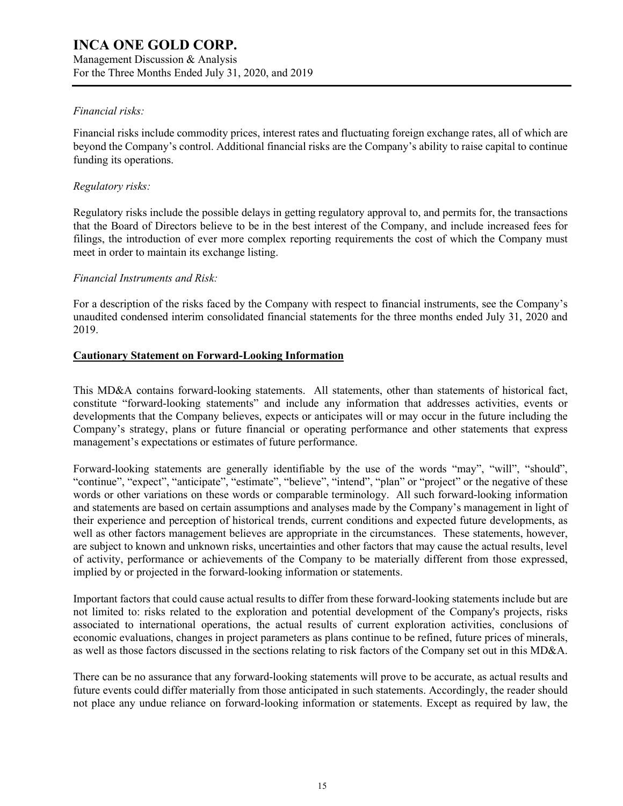Management Discussion & Analysis For the Three Months Ended July 31, 2020, and 2019

#### *Financial risks:*

Financial risks include commodity prices, interest rates and fluctuating foreign exchange rates, all of which are beyond the Company's control. Additional financial risks are the Company's ability to raise capital to continue funding its operations.

#### *Regulatory risks:*

Regulatory risks include the possible delays in getting regulatory approval to, and permits for, the transactions that the Board of Directors believe to be in the best interest of the Company, and include increased fees for filings, the introduction of ever more complex reporting requirements the cost of which the Company must meet in order to maintain its exchange listing.

#### *Financial Instruments and Risk:*

For a description of the risks faced by the Company with respect to financial instruments, see the Company's unaudited condensed interim consolidated financial statements for the three months ended July 31, 2020 and 2019.

#### **Cautionary Statement on Forward-Looking Information**

This MD&A contains forward-looking statements. All statements, other than statements of historical fact, constitute "forward-looking statements" and include any information that addresses activities, events or developments that the Company believes, expects or anticipates will or may occur in the future including the Company's strategy, plans or future financial or operating performance and other statements that express management's expectations or estimates of future performance.

Forward-looking statements are generally identifiable by the use of the words "may", "will", "should", "continue", "expect", "anticipate", "estimate", "believe", "intend", "plan" or "project" or the negative of these words or other variations on these words or comparable terminology. All such forward-looking information and statements are based on certain assumptions and analyses made by the Company's management in light of their experience and perception of historical trends, current conditions and expected future developments, as well as other factors management believes are appropriate in the circumstances. These statements, however, are subject to known and unknown risks, uncertainties and other factors that may cause the actual results, level of activity, performance or achievements of the Company to be materially different from those expressed, implied by or projected in the forward-looking information or statements.

Important factors that could cause actual results to differ from these forward-looking statements include but are not limited to: risks related to the exploration and potential development of the Company's projects, risks associated to international operations, the actual results of current exploration activities, conclusions of economic evaluations, changes in project parameters as plans continue to be refined, future prices of minerals, as well as those factors discussed in the sections relating to risk factors of the Company set out in this MD&A.

There can be no assurance that any forward-looking statements will prove to be accurate, as actual results and future events could differ materially from those anticipated in such statements. Accordingly, the reader should not place any undue reliance on forward-looking information or statements. Except as required by law, the